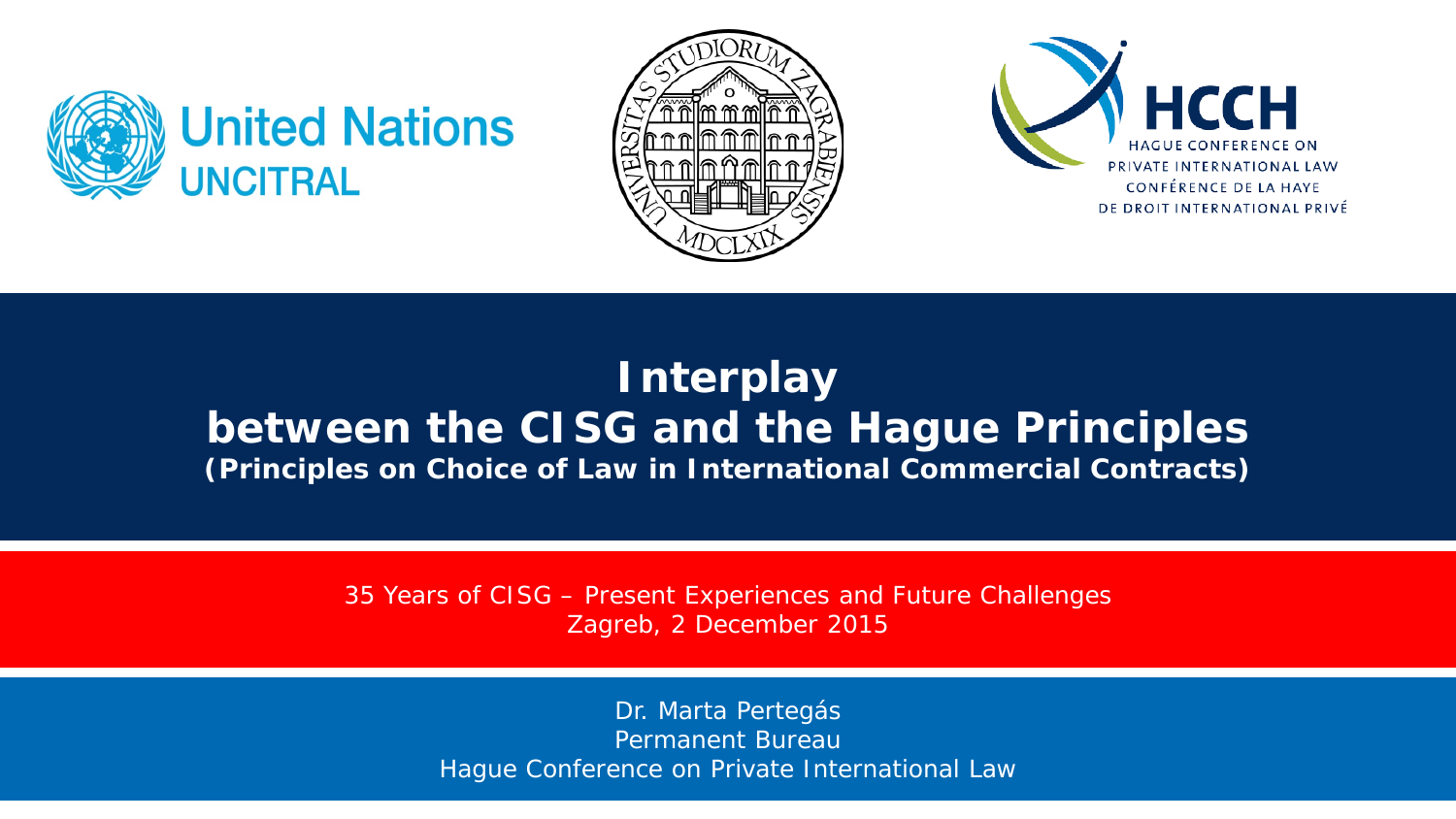





### **Interplay between the CISG and the Hague Principles** *(Principles on Choice of Law in International Commercial Contracts)*

35 Years of CISG – Present Experiences and Future Challenges *Zagreb, 2 December 2015*

> Dr. Marta Pertegás Permanent Bureau Hague Conference on Private International Law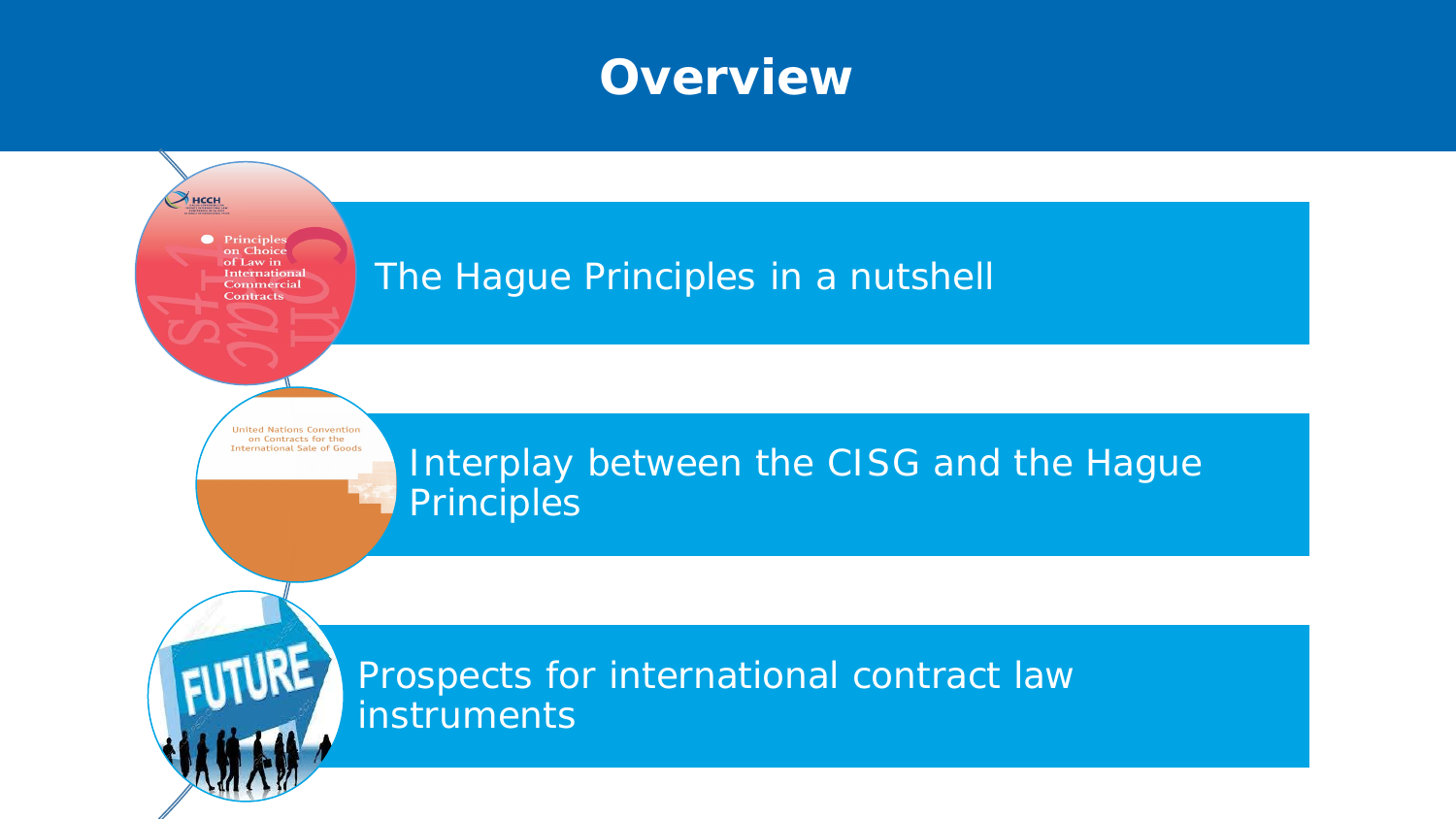### **Overview**

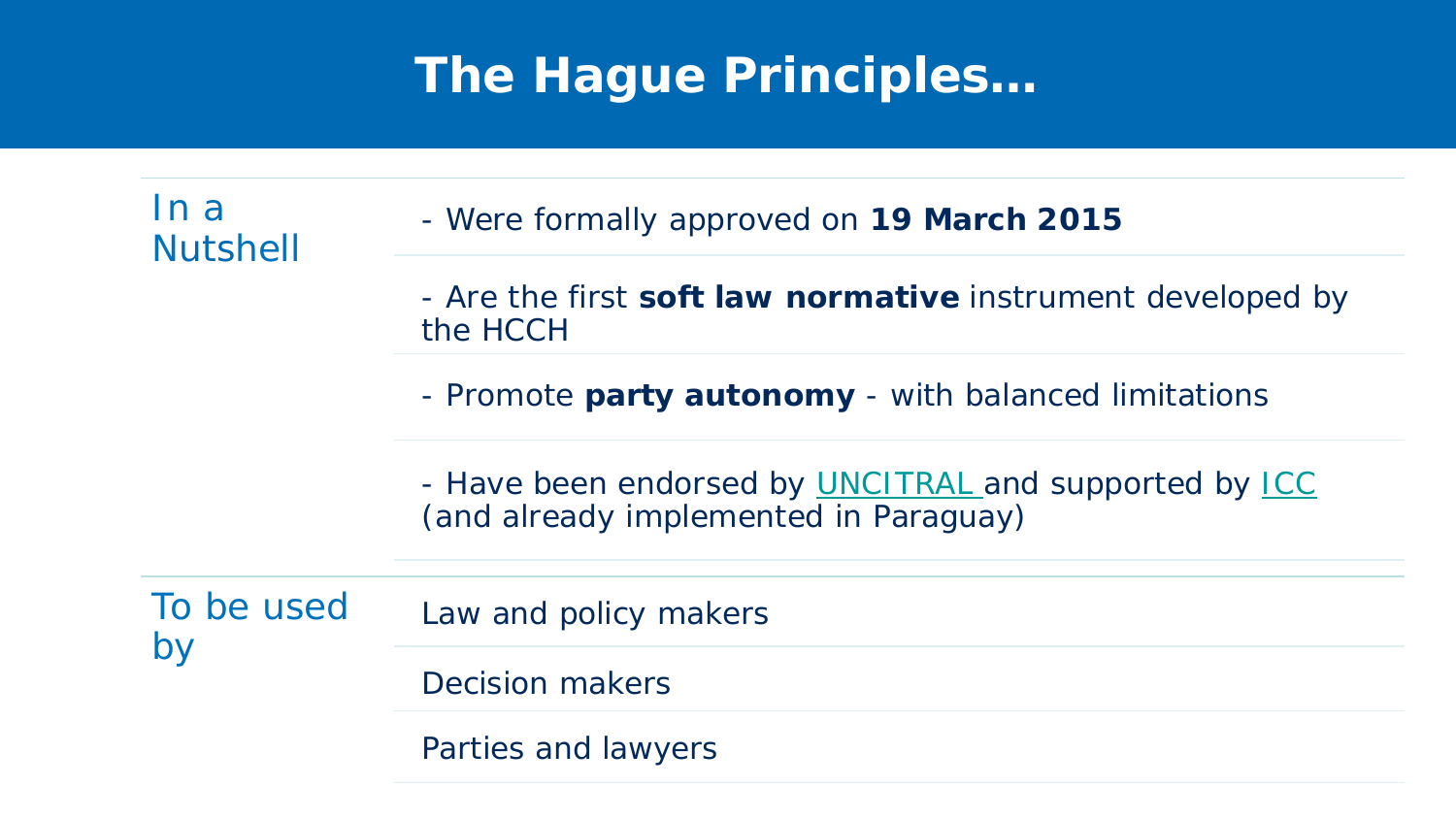# **The Hague Principles…**

In a III d TIII - Were formally approved on **19 March 2015**<br>Nutshell - Are the first **soft law normative** instrument developed by the HCCH - Promote **party autonomy** - with balanced limitations - Have been endorsed by **UNCITRAL** and supported by **ICC** (and already implemented in Paraguay) To be used by Law and policy makers Decision makers Parties and lawyers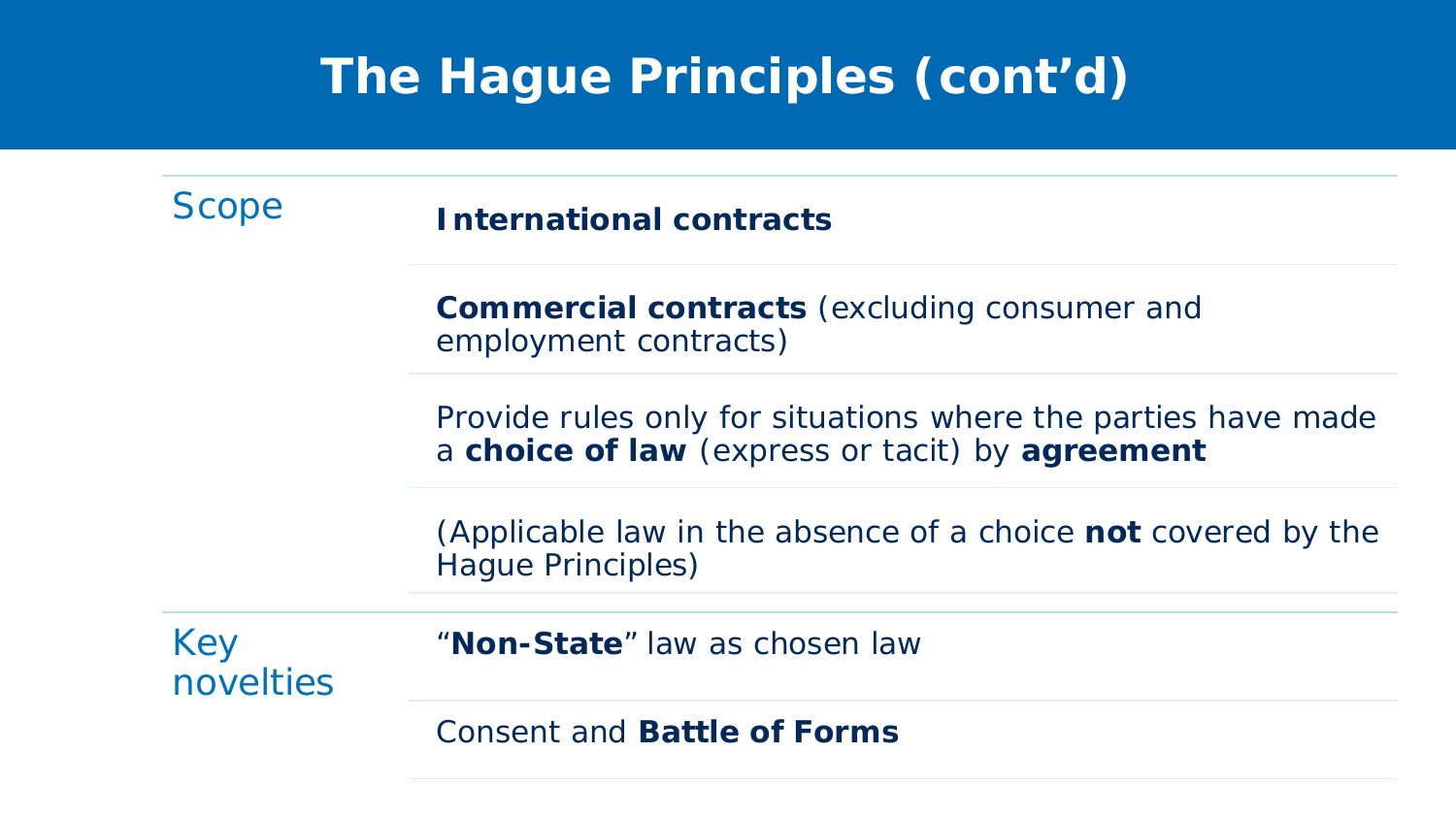# **The Hague Principles (cont'd)**

Scope **International contracts** 

**Commercial contracts** (excluding consumer and employment contracts)

Provide rules only for situations where the parties have made a **choice of law** (express or tacit) by **agreement**

(Applicable law in the absence of a choice **not** covered by the Hague Principles)

Key novelties "**Non-State**" law as chosen law

Consent and **Battle of Forms**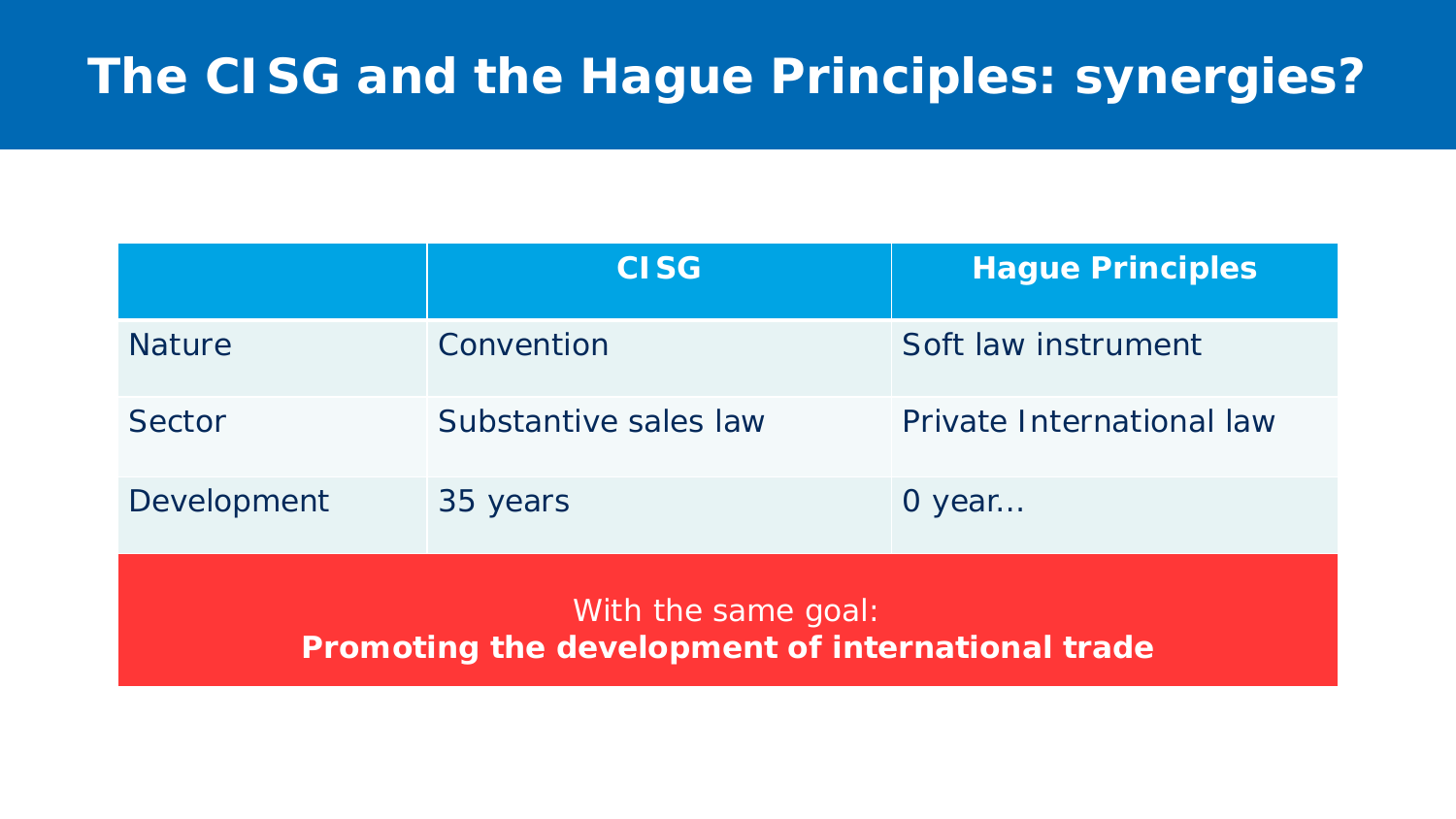# **The CISG and the Hague Principles: synergies?**

|                                                                         | <b>CISG</b>           | <b>Hague Principles</b>   |
|-------------------------------------------------------------------------|-----------------------|---------------------------|
| <b>Nature</b>                                                           | Convention            | Soft law instrument       |
| Sector                                                                  | Substantive sales law | Private International law |
| Development                                                             | 35 years              | 0 year                    |
| With the same goal:<br>Promoting the development of international trade |                       |                           |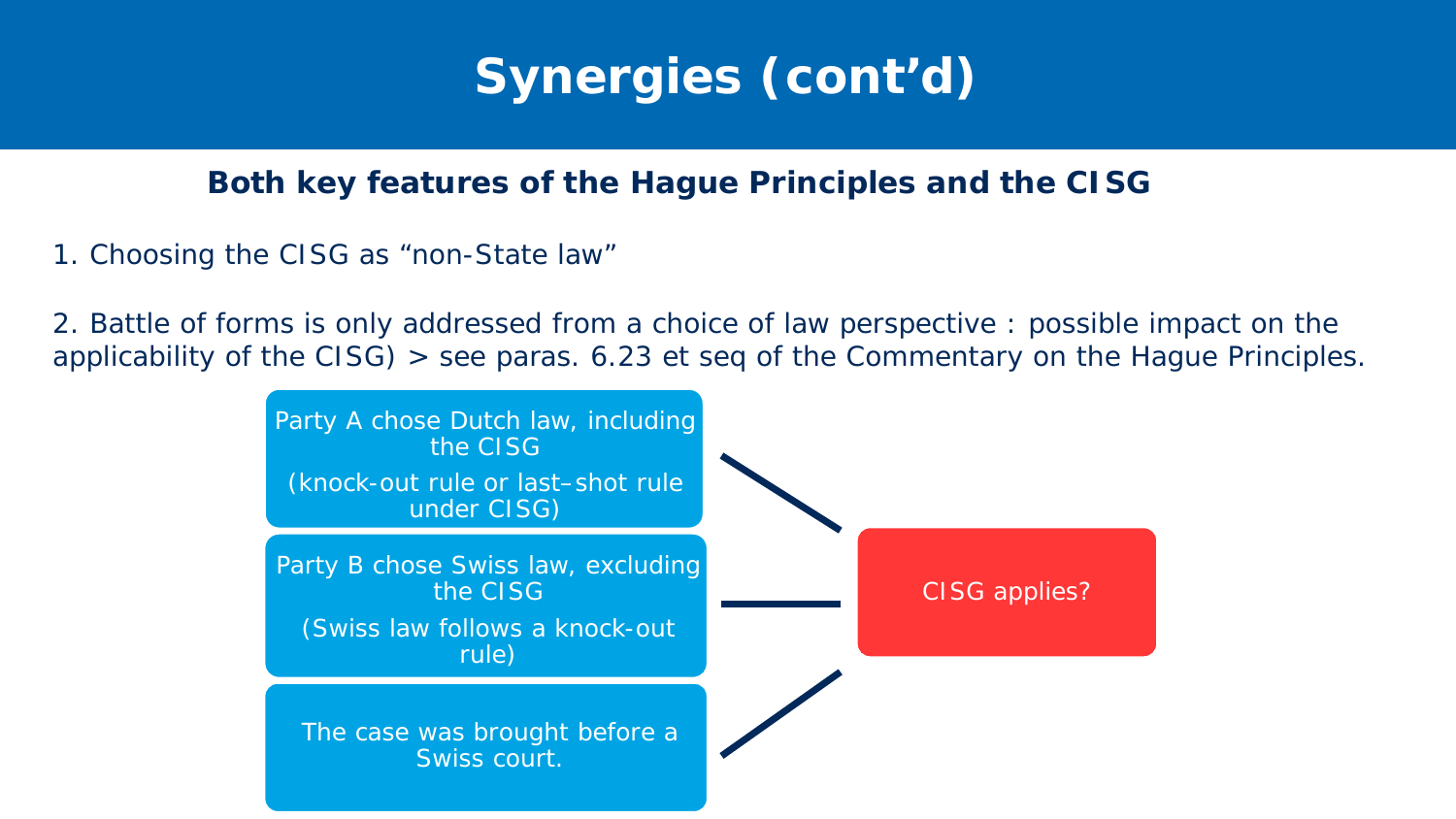

#### **Both key features of the Hague Principles and the CISG**

1. Choosing the CISG as "non-State law"

2. Battle of forms is only addressed from a choice of law perspective : possible impact on the applicability of the CISG) > see paras. 6.23 *et seq* of the Commentary on the Hague Principles.

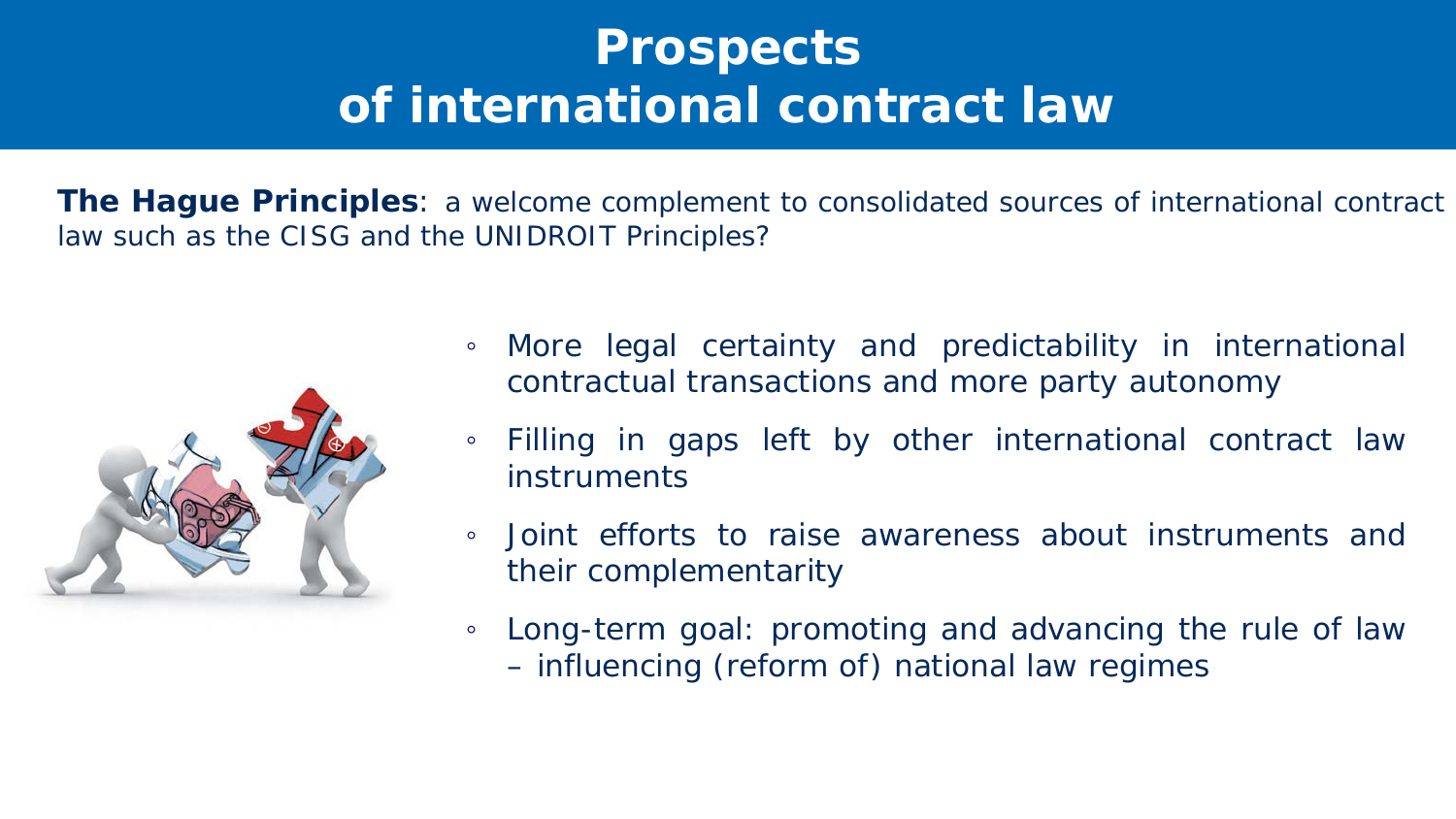# **Prospects of international contract law**

**The Hague Principles**: a welcome complement to consolidated sources of international contract law such as the CISG and the UNIDROIT Principles?



- More legal certainty and predictability in international contractual transactions and more party autonomy
- Filling in gaps left by other international contract law instruments
- Joint efforts to raise awareness about instruments and their complementarity
- Long-term goal: promoting and advancing the rule of law – influencing (reform of) national law regimes